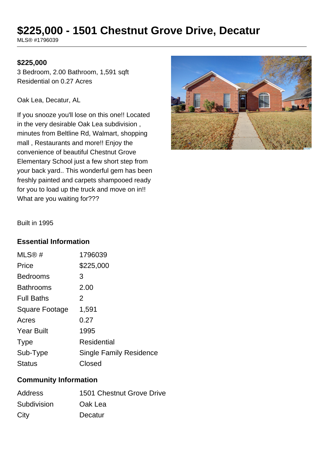# **\$225,000 - 1501 Chestnut Grove Drive, Decatur**

MLS® #1796039

#### **\$225,000**

3 Bedroom, 2.00 Bathroom, 1,591 sqft Residential on 0.27 Acres

Oak Lea, Decatur, AL

If you snooze you'll lose on this one!! Located in the very desirable Oak Lea subdivision , minutes from Beltline Rd, Walmart, shopping mall , Restaurants and more!! Enjoy the convenience of beautiful Chestnut Grove Elementary School just a few short step from your back yard.. This wonderful gem has been freshly painted and carpets shampooed ready for you to load up the truck and move on in!! What are you waiting for???



Built in 1995

#### **Essential Information**

| MLS@#                 | 1796039                        |
|-----------------------|--------------------------------|
| Price                 | \$225,000                      |
| <b>Bedrooms</b>       | 3                              |
| <b>Bathrooms</b>      | 2.00                           |
| <b>Full Baths</b>     | 2                              |
| <b>Square Footage</b> | 1,591                          |
| Acres                 | 0.27                           |
| <b>Year Built</b>     | 1995                           |
| <b>Type</b>           | Residential                    |
| Sub-Type              | <b>Single Family Residence</b> |
| <b>Status</b>         | Closed                         |

### **Community Information**

| <b>Address</b> | 1501 Chestnut Grove Drive |
|----------------|---------------------------|
| Subdivision    | Oak Lea                   |
| City           | Decatur                   |